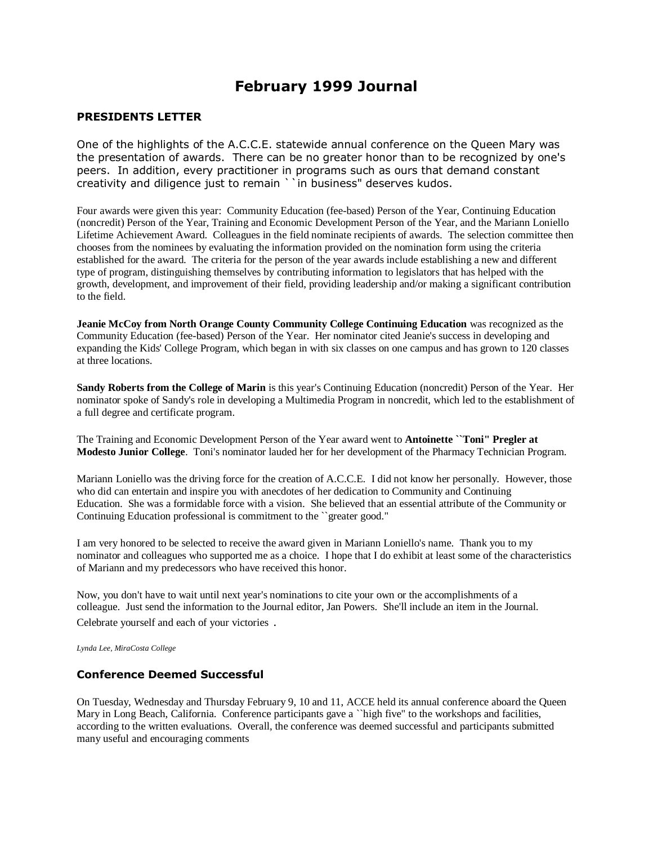# **February 1999 Journal**

#### **PRESIDENTS LETTER**

One of the highlights of the A.C.C.E. statewide annual conference on the Queen Mary was the presentation of awards. There can be no greater honor than to be recognized by one's peers. In addition, every practitioner in programs such as ours that demand constant creativity and diligence just to remain ``in business" deserves kudos.

Four awards were given this year: Community Education (fee-based) Person of the Year, Continuing Education (noncredit) Person of the Year, Training and Economic Development Person of the Year, and the Mariann Loniello Lifetime Achievement Award. Colleagues in the field nominate recipients of awards. The selection committee then chooses from the nominees by evaluating the information provided on the nomination form using the criteria established for the award. The criteria for the person of the year awards include establishing a new and different type of program, distinguishing themselves by contributing information to legislators that has helped with the growth, development, and improvement of their field, providing leadership and/or making a significant contribution to the field.

**Jeanie McCoy from North Orange County Community College Continuing Education** was recognized as the Community Education (fee-based) Person of the Year. Her nominator cited Jeanie's success in developing and expanding the Kids' College Program, which began in with six classes on one campus and has grown to 120 classes at three locations.

**Sandy Roberts from the College of Marin** is this year's Continuing Education (noncredit) Person of the Year. Her nominator spoke of Sandy's role in developing a Multimedia Program in noncredit, which led to the establishment of a full degree and certificate program.

The Training and Economic Development Person of the Year award went to **Antoinette ``Toni" Pregler at Modesto Junior College**. Toni's nominator lauded her for her development of the Pharmacy Technician Program.

Mariann Loniello was the driving force for the creation of A.C.C.E. I did not know her personally. However, those who did can entertain and inspire you with anecdotes of her dedication to Community and Continuing Education. She was a formidable force with a vision. She believed that an essential attribute of the Community or Continuing Education professional is commitment to the ``greater good."

I am very honored to be selected to receive the award given in Mariann Loniello's name. Thank you to my nominator and colleagues who supported me as a choice. I hope that I do exhibit at least some of the characteristics of Mariann and my predecessors who have received this honor.

Now, you don't have to wait until next year's nominations to cite your own or the accomplishments of a colleague. Just send the information to the Journal editor, Jan Powers. She'll include an item in the Journal. Celebrate yourself and each of your victories .

*Lynda Lee, MiraCosta College*

#### **Conference Deemed Successful**

On Tuesday, Wednesday and Thursday February 9, 10 and 11, ACCE held its annual conference aboard the Queen Mary in Long Beach, California. Conference participants gave a ``high five" to the workshops and facilities, according to the written evaluations. Overall, the conference was deemed successful and participants submitted many useful and encouraging comments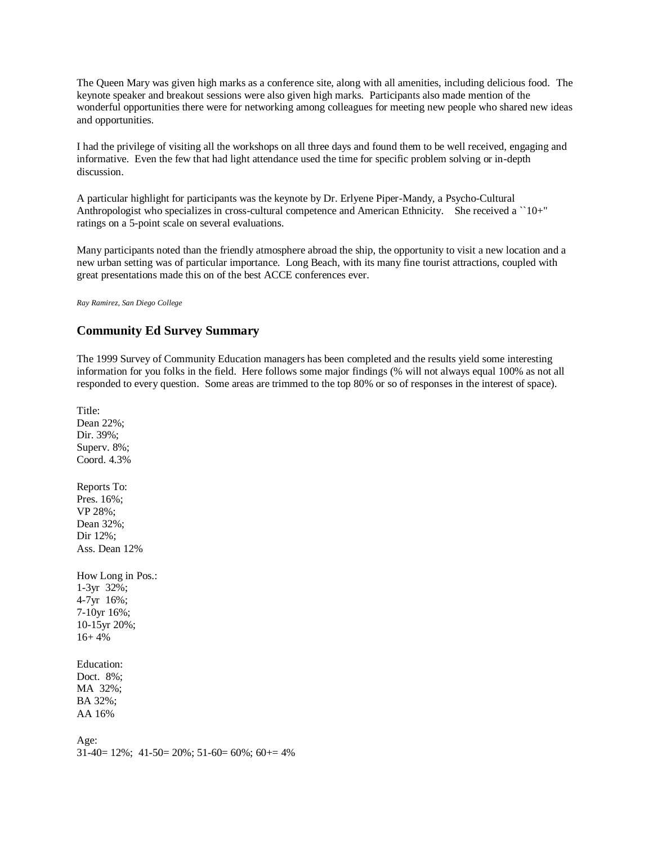The Queen Mary was given high marks as a conference site, along with all amenities, including delicious food. The keynote speaker and breakout sessions were also given high marks. Participants also made mention of the wonderful opportunities there were for networking among colleagues for meeting new people who shared new ideas and opportunities.

I had the privilege of visiting all the workshops on all three days and found them to be well received, engaging and informative. Even the few that had light attendance used the time for specific problem solving or in-depth discussion.

A particular highlight for participants was the keynote by Dr. Erlyene Piper-Mandy, a Psycho-Cultural Anthropologist who specializes in cross-cultural competence and American Ethnicity. She received a ``10+" ratings on a 5-point scale on several evaluations.

Many participants noted than the friendly atmosphere abroad the ship, the opportunity to visit a new location and a new urban setting was of particular importance. Long Beach, with its many fine tourist attractions, coupled with great presentations made this on of the best ACCE conferences ever.

*Ray Ramirez, San Diego College*

### **Community Ed Survey Summary**

The 1999 Survey of Community Education managers has been completed and the results yield some interesting information for you folks in the field. Here follows some major findings (% will not always equal 100% as not all responded to every question. Some areas are trimmed to the top 80% or so of responses in the interest of space).

Title: Dean 22%; Dir. 39%; Superv. 8%; Coord. 4.3% Reports To: Pres. 16%; VP 28%; Dean 32%; Dir 12%; Ass. Dean 12% How Long in Pos.: 1-3yr 32%; 4-7yr 16%; 7-10yr 16%; 10-15yr 20%;  $16+4%$ Education: Doct. 8%; MA 32%; BA 32%; AA 16% Age:  $31-40= 12\%$ ;  $41-50= 20\%$ ;  $51-60= 60\%$ ;  $60+ = 4\%$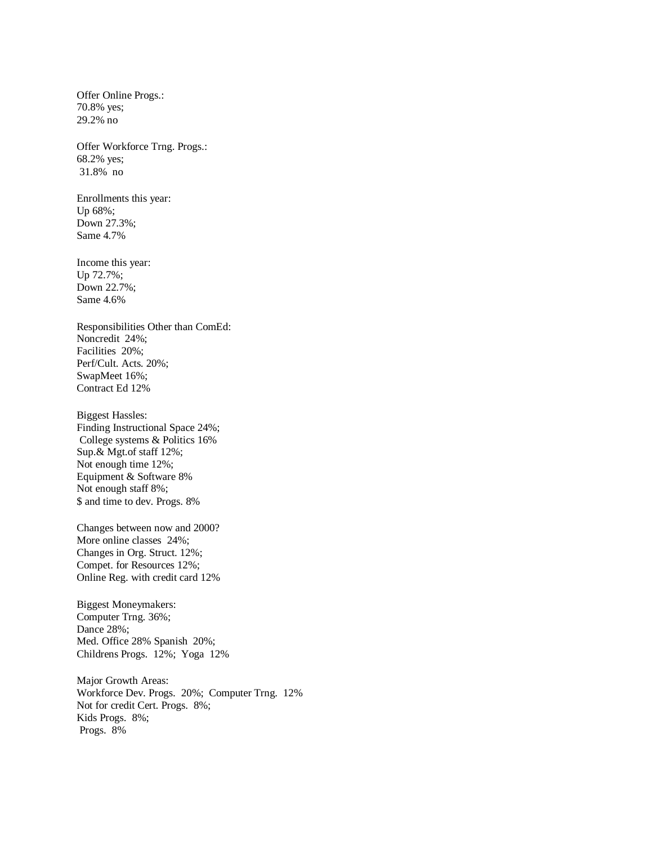Offer Online Progs.: 70.8% yes; 29.2% no

Offer Workforce Trng. Progs.: 68.2% yes; 31.8% no

Enrollments this year: Up 68%; Down 27.3%; Same 4.7%

Income this year: Up 72.7%; Down 22.7%; Same 4.6%

Responsibilities Other than ComEd: Noncredit 24%; Facilities 20%; Perf/Cult. Acts. 20%; SwapMeet 16%; Contract Ed 12%

Biggest Hassles: Finding Instructional Space 24%; College systems & Politics 16% Sup.& Mgt.of staff 12%; Not enough time 12%; Equipment & Software 8% Not enough staff 8%; \$ and time to dev. Progs. 8%

Changes between now and 2000? More online classes 24%; Changes in Org. Struct. 12%; Compet. for Resources 12%; Online Reg. with credit card 12%

Biggest Moneymakers: Computer Trng. 36%; Dance 28%; Med. Office 28% Spanish 20%; Childrens Progs. 12%; Yoga 12%

Major Growth Areas: Workforce Dev. Progs. 20%; Computer Trng. 12% Not for credit Cert. Progs. 8%; Kids Progs. 8%; Progs. 8%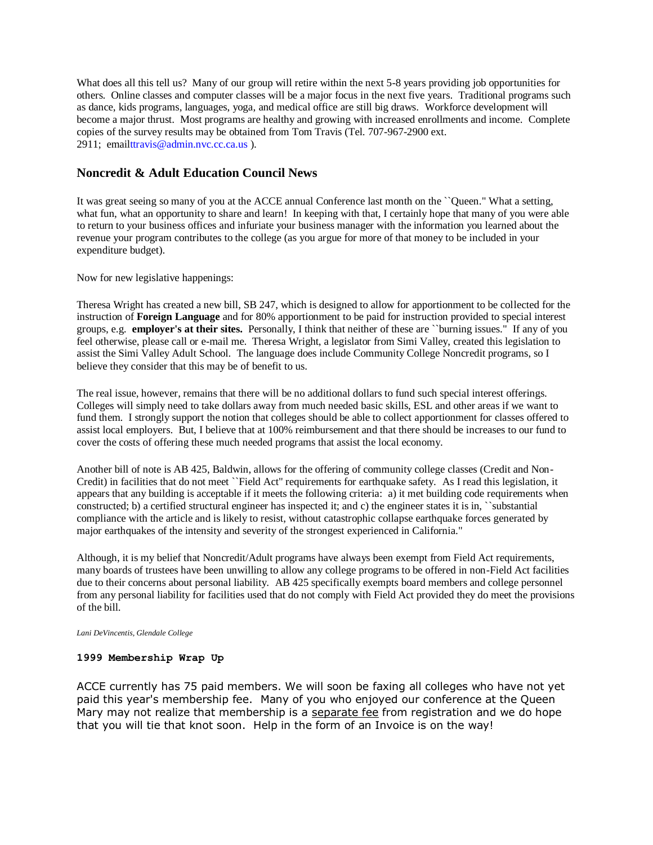What does all this tell us? Many of our group will retire within the next 5-8 years providing job opportunities for others. Online classes and computer classes will be a major focus in the next five years. Traditional programs such as dance, kids programs, languages, yoga, and medical office are still big draws. Workforce development will become a major thrust. Most programs are healthy and growing with increased enrollments and income. Complete copies of the survey results may be obtained from Tom Travis (Tel. 707-967-2900 ext. 2911; emai[lttravis@admin.nvc.cc.ca.us](mailto:ttravis@admin.nvc.cc.ca.us) ).

## **Noncredit & Adult Education Council News**

It was great seeing so many of you at the ACCE annual Conference last month on the ``Queen." What a setting, what fun, what an opportunity to share and learn! In keeping with that, I certainly hope that many of you were able to return to your business offices and infuriate your business manager with the information you learned about the revenue your program contributes to the college (as you argue for more of that money to be included in your expenditure budget).

Now for new legislative happenings:

Theresa Wright has created a new bill, SB 247, which is designed to allow for apportionment to be collected for the instruction of **Foreign Language** and for 80% apportionment to be paid for instruction provided to special interest groups, e.g. **employer's at their sites.** Personally, I think that neither of these are ``burning issues." If any of you feel otherwise, please call or e-mail me. Theresa Wright, a legislator from Simi Valley, created this legislation to assist the Simi Valley Adult School. The language does include Community College Noncredit programs, so I believe they consider that this may be of benefit to us.

The real issue, however, remains that there will be no additional dollars to fund such special interest offerings. Colleges will simply need to take dollars away from much needed basic skills, ESL and other areas if we want to fund them. I strongly support the notion that colleges should be able to collect apportionment for classes offered to assist local employers. But, I believe that at 100% reimbursement and that there should be increases to our fund to cover the costs of offering these much needed programs that assist the local economy.

Another bill of note is AB 425, Baldwin, allows for the offering of community college classes (Credit and Non-Credit) in facilities that do not meet ``Field Act" requirements for earthquake safety. As I read this legislation, it appears that any building is acceptable if it meets the following criteria: a) it met building code requirements when constructed; b) a certified structural engineer has inspected it; and c) the engineer states it is in, ``substantial compliance with the article and is likely to resist, without catastrophic collapse earthquake forces generated by major earthquakes of the intensity and severity of the strongest experienced in California."

Although, it is my belief that Noncredit/Adult programs have always been exempt from Field Act requirements, many boards of trustees have been unwilling to allow any college programs to be offered in non-Field Act facilities due to their concerns about personal liability. AB 425 specifically exempts board members and college personnel from any personal liability for facilities used that do not comply with Field Act provided they do meet the provisions of the bill.

*Lani DeVincentis, Glendale College*

#### **1999 Membership Wrap Up**

ACCE currently has 75 paid members. We will soon be faxing all colleges who have not yet paid this year's membership fee. Many of you who enjoyed our conference at the Queen Mary may not realize that membership is a separate fee from registration and we do hope that you will tie that knot soon. Help in the form of an Invoice is on the way!